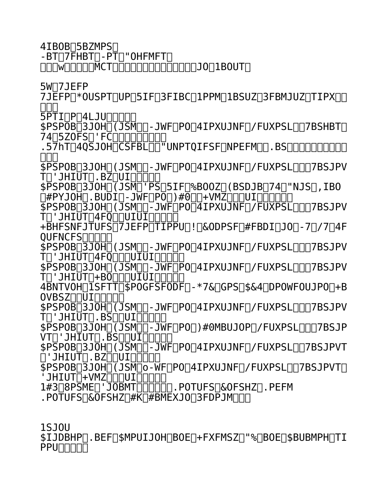Shana Taylor Las Vegas/Los Angeles 5'5- 113 lbs 32-23-33 (25 in Pants) Tv/Video Video Intros to The Rehab Pool Party Reality show 2 010 Tosh.o Skit 2010 Corona Ring Girl- Live on Showtime Network; Vargas VS Tyner Feb 24, 2012. MTV‡s Spring break- Atmosphere model (Mar 20-22, 20  $12)$ Corona Ring Girl- Live on Showtime Network; Variou s Fights May4th, 2012 Corona Ring Girl For The Danny Garcia VS Amir Khan Boxing Match Live on HBO (July 14th, 2012) Corona Ring Girl- Live on Showtime Network; Variou s Fights Sep 8thth, 2012 Jagermeister Video shoot @ Encore Beach in LV, NV Se ptember 2012 Corona Ring Girl- Live on Showtime Network; Variou s Fights Sep 15thth, 2012 Corona Ring Girl- Live on Showtime Network; Variou s Fights Jan 26thth, 2013 Samsung Press Conference LIVE for CES convention Ja nuary 7th, 2013 Corona Ring Girl- Live on Showtime Network; Variou s Fights Mar 8th, 2013 Corona Ring Girl- Live on HBOlatino Network; Vario us Fights Mar 9th, 2013 Corona Ring Girl- Live on Showtime Network; Various Fights May 4th, 2013 Corona Ring Girl ŽLve on Showtime Network; Various Fights July 19th, 2013 PBR World Finals 2013 Monster Energy Model Monster Energy Bj Baldwin Recoil #2

Print Chicago Made Clothing and Jewelry AD and Catalog sh oot 2012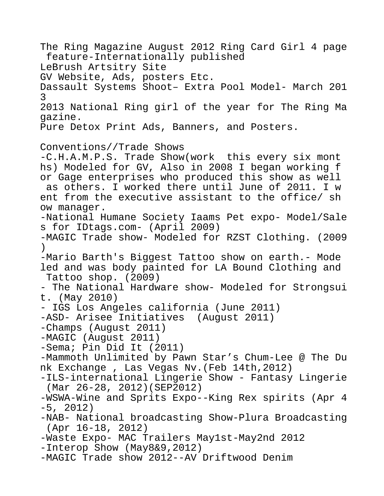The Ring Magazine August 2012 Ring Card Girl 4 page feature-Internationally published LeBrush Artsitry Site GV Website, Ads, posters Etc. Dassault Systems Shoot– Extra Pool Model- March 201 3 2013 National Ring girl of the year for The Ring Ma gazine. Pure Detox Print Ads, Banners, and Posters. Conventions//Trade Shows -C.H.A.M.P.S. Trade Show(work this every six mont hs) Modeled for GV, Also in 2008 I began working f or Gage enterprises who produced this show as well as others. I worked there until June of 2011. I w ent from the executive assistant to the office/ sh ow manager. -National Humane Society Iaams Pet expo- Model/Sale s for IDtags.com- (April 2009) -MAGIC Trade show- Modeled for RZST Clothing. (2009  $\lambda$ -Mario Barth's Biggest Tattoo show on earth.- Mode led and was body painted for LA Bound Clothing and Tattoo shop. (2009) - The National Hardware show- Modeled for Strongsui t. (May 2010) - IGS Los Angeles california (June 2011) -ASD- Arisee Initiatives (August 2011) -Champs (August 2011) -MAGIC (August 2011) -Sema; Pin Did It (2011) -Mammoth Unlimited by Pawn Star's Chum-Lee @ The Du nk Exchange , Las Vegas Nv.(Feb 14th,2012) -ILS-international Lingerie Show - Fantasy Lingerie (Mar 26-28, 2012)(SEP2012) -WSWA-Wine and Sprits Expo--King Rex spirits (Apr 4 -5, 2012) -NAB- National broadcasting Show-Plura Broadcasting (Apr 16-18, 2012) -Waste Expo- MAC Trailers May1st-May2nd 2012 -Interop Show (May8&9,2012) -MAGIC Trade show 2012--AV Driftwood Denim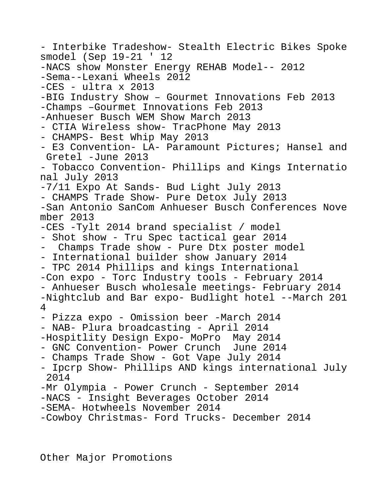- Interbike Tradeshow- Stealth Electric Bikes Spoke smodel (Sep 19-21 ' 12 -NACS show Monster Energy REHAB Model-- 2012 -Sema--Lexani Wheels 2012  $-CES - ultra \times 2013$ -BIG Industry Show – Gourmet Innovations Feb 2013 -Champs –Gourmet Innovations Feb 2013 -Anhueser Busch WEM Show March 2013 - CTIA Wireless show- TracPhone May 2013 - CHAMPS- Best Whip May 2013 - E3 Convention- LA- Paramount Pictures; Hansel and Gretel -June 2013 - Tobacco Convention- Phillips and Kings Internatio nal July 2013 -7/11 Expo At Sands- Bud Light July 2013 - CHAMPS Trade Show- Pure Detox July 2013 -San Antonio SanCom Anhueser Busch Conferences Nove mber 2013 -CES -Tylt 2014 brand specialist / model - Shot show - Tru Spec tactical gear 2014 - Champs Trade show - Pure Dtx poster model - International builder show January 2014 - TPC 2014 Phillips and kings International -Con expo - Torc Industry tools - February 2014 - Anhueser Busch wholesale meetings- February 2014 -Nightclub and Bar expo- Budlight hotel --March 201 4 - Pizza expo - Omission beer -March 2014 - NAB- Plura broadcasting - April 2014 -Hospitlity Design Expo- MoPro May 2014 - GNC Convention- Power Crunch June 2014 - Champs Trade Show - Got Vape July 2014 - Ipcrp Show- Phillips AND kings international July 2014 -Mr Olympia - Power Crunch - September 2014 -NACS - Insight Beverages October 2014 -SEMA- Hotwheels November 2014 -Cowboy Christmas- Ford Trucks- December 2014

Other Major Promotions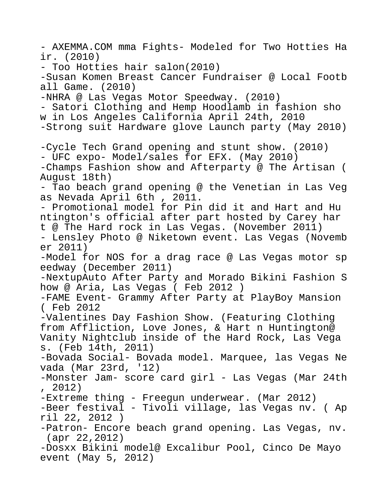- AXEMMA.COM mma Fights- Modeled for Two Hotties Ha ir. (2010) - Too Hotties hair salon(2010) -Susan Komen Breast Cancer Fundraiser @ Local Footb all Game. (2010) -NHRA @ Las Vegas Motor Speedway. (2010) - Satori Clothing and Hemp Hoodlamb in fashion sho w in Los Angeles California April 24th, 2010 -Strong suit Hardware glove Launch party (May 2010) -Cycle Tech Grand opening and stunt show. (2010) - UFC expo- Model/sales for EFX. (May 2010) -Champs Fashion show and Afterparty @ The Artisan ( August 18th) - Tao beach grand opening @ the Venetian in Las Veg as Nevada April 6th , 2011. - Promotional model for Pin did it and Hart and Hu ntington's official after part hosted by Carey har t @ The Hard rock in Las Vegas. (November 2011) - Lensley Photo @ Niketown event. Las Vegas (Novemb er 2011) -Model for NOS for a drag race @ Las Vegas motor sp eedway (December 2011) -NextupAuto After Party and Morado Bikini Fashion S how @ Aria, Las Vegas ( Feb 2012 ) -FAME Event- Grammy After Party at PlayBoy Mansion ( Feb 2012 -Valentines Day Fashion Show. (Featuring Clothing from Affliction, Love Jones, & Hart n Huntington@ Vanity Nightclub inside of the Hard Rock, Las Vega s. (Feb 14th, 2011) -Bovada Social- Bovada model. Marquee, las Vegas Ne vada (Mar 23rd, '12) -Monster Jam- score card girl - Las Vegas (Mar 24th , 2012) -Extreme thing - Freegun underwear. (Mar 2012) -Beer festival - Tivoli village, las Vegas nv. ( Ap ril 22, 2012 ) -Patron- Encore beach grand opening. Las Vegas, nv. (apr 22,2012) -Dosxx Bikini model@ Excalibur Pool, Cinco De Mayo event (May 5, 2012)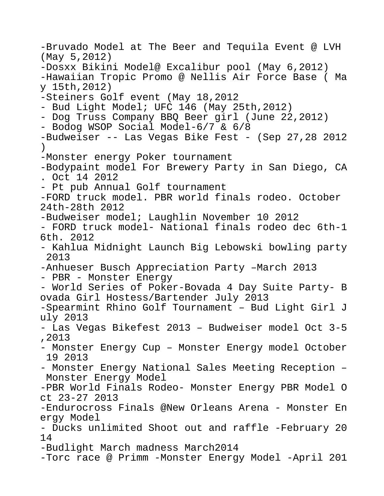-Bruvado Model at The Beer and Tequila Event @ LVH (May 5,2012) -Dosxx Bikini Model@ Excalibur pool (May 6,2012) -Hawaiian Tropic Promo @ Nellis Air Force Base ( Ma y 15th,2012) -Steiners Golf event (May 18,2012 - Bud Light Model; UFC 146 (May 25th,2012) - Dog Truss Company BBQ Beer girl (June 22,2012) - Bodog WSOP Social Model-6/7 & 6/8 -Budweiser -- Las Vegas Bike Fest - (Sep 27,28 2012  $\left( \right)$ -Monster energy Poker tournament -Bodypaint model For Brewery Party in San Diego, CA . Oct 14 2012 - Pt pub Annual Golf tournament -FORD truck model. PBR world finals rodeo. October 24th-28th 2012 -Budweiser model; Laughlin November 10 2012 - FORD truck model- National finals rodeo dec 6th-1 6th. 2012 - Kahlua Midnight Launch Big Lebowski bowling party 2013 -Anhueser Busch Appreciation Party –March 2013 - PBR - Monster Energy - World Series of Poker-Bovada 4 Day Suite Party- B ovada Girl Hostess/Bartender July 2013 -Spearmint Rhino Golf Tournament – Bud Light Girl J uly 2013 - Las Vegas Bikefest 2013 – Budweiser model Oct 3-5 ,2013 - Monster Energy Cup – Monster Energy model October 19 2013 - Monster Energy National Sales Meeting Reception – Monster Energy Model -PBR World Finals Rodeo- Monster Energy PBR Model O ct 23-27 2013 -Endurocross Finals @New Orleans Arena - Monster En ergy Model - Ducks unlimited Shoot out and raffle -February 20 14 -Budlight March madness March2014 -Torc race @ Primm -Monster Energy Model -April 201